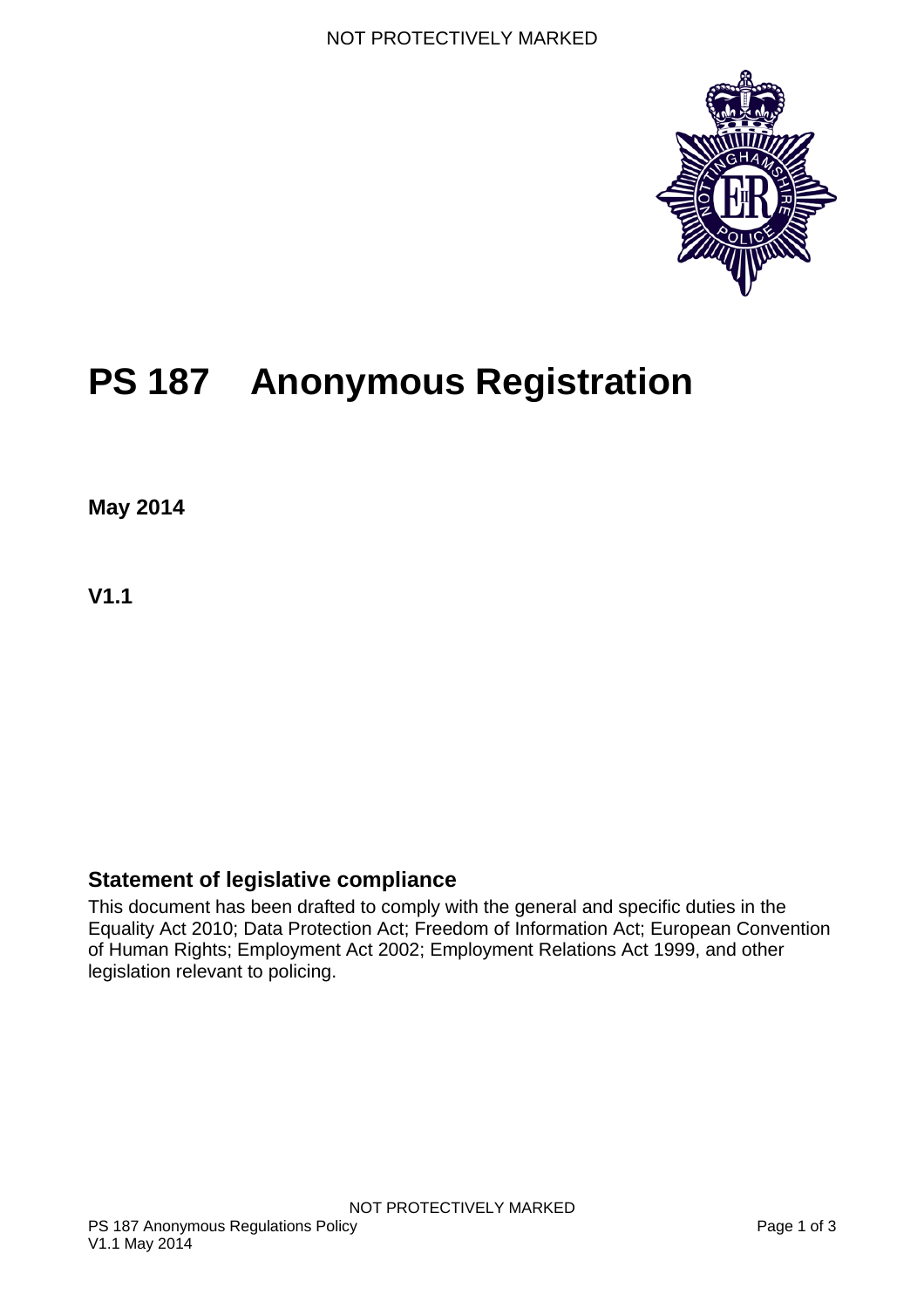

# **PS 187 Anonymous Registration**

**May 2014**

**V1.1** 

#### <span id="page-0-0"></span>**Statement of legislative compliance**

This document has been drafted to comply with the general and specific duties in the Equality Act 2010; Data Protection Act; Freedom of Information Act; European Convention of Human Rights; Employment Act 2002; Employment Relations Act 1999, and other legislation relevant to policing.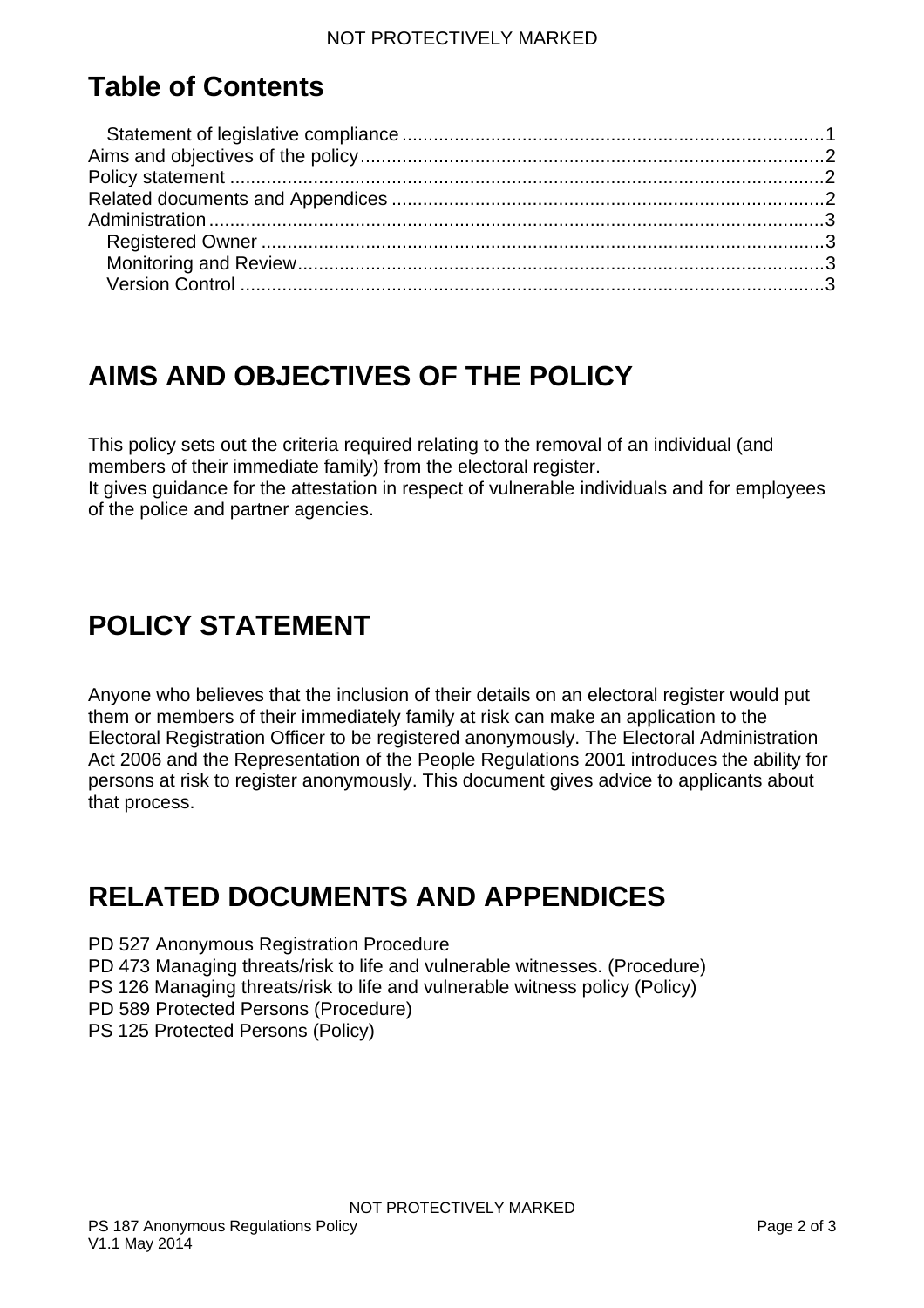## **Table of Contents**

# <span id="page-1-0"></span>**AIMS AND OBJECTIVES OF THE POLICY**

This policy sets out the criteria required relating to the removal of an individual (and members of their immediate family) from the electoral register.

It gives guidance for the attestation in respect of vulnerable individuals and for employees of the police and partner agencies.

## <span id="page-1-1"></span>**POLICY STATEMENT**

Anyone who believes that the inclusion of their details on an electoral register would put them or members of their immediately family at risk can make an application to the Electoral Registration Officer to be registered anonymously. The Electoral Administration Act 2006 and the Representation of the People Regulations 2001 introduces the ability for persons at risk to register anonymously. This document gives advice to applicants about that process.

#### <span id="page-1-2"></span>**RELATED DOCUMENTS AND APPENDICES**

PD 527 Anonymous Registration Procedure PD 473 Managing threats/risk to life and vulnerable witnesses. (Procedure) PS 126 Managing threats/risk to life and vulnerable witness policy (Policy) PD 589 Protected Persons (Procedure) PS 125 Protected Persons (Policy)